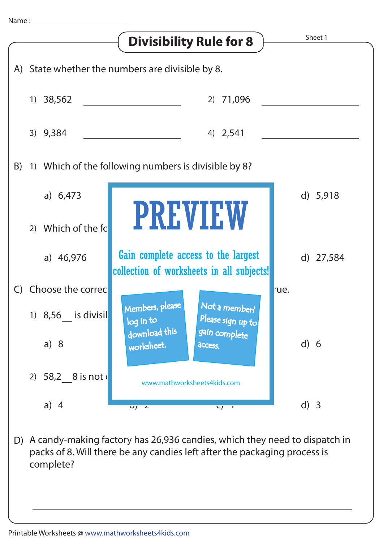

A candy-making factory has 26,936 candies, which they need to dispatch in D) packs of 8. Will there be any candies left after the packaging process is complete?